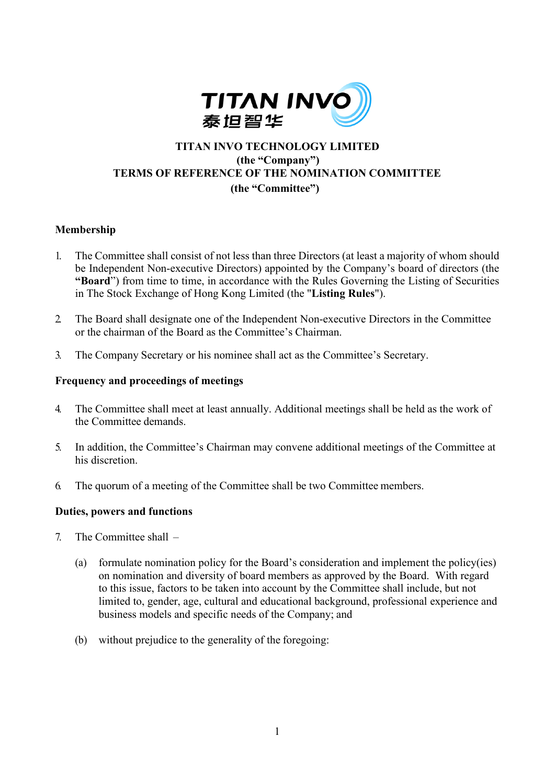

# **TITAN INVO TECHNOLOGY LIMITED (the "Company") TERMS OF REFERENCE OF THE NOMINATION COMMITTEE (the "Committee")**

### **Membership**

- 1. The Committee shall consist of not less than three Directors (at least a majority of whom should be Independent Non-executive Directors) appointed by the Company's board of directors (the **"Board**") from time to time, in accordance with the Rules Governing the Listing of Securities in The Stock Exchange of Hong Kong Limited (the "**Listing Rules**").
- 2. The Board shall designate one of the Independent Non-executive Directors in the Committee or the chairman of the Board as the Committee's Chairman.
- 3. The Company Secretary or his nominee shall act as the Committee's Secretary.

### **Frequency and proceedings of meetings**

- 4. The Committee shall meet at least annually. Additional meetings shall be held as the work of the Committee demands.
- 5. In addition, the Committee's Chairman may convene additional meetings of the Committee at his discretion.
- 6. The quorum of a meeting of the Committee shall be two Committee members.

#### **Duties, powers and functions**

- 7. The Committee shall
	- (a) formulate nomination policy for the Board's consideration and implement the policy(ies) on nomination and diversity of board members as approved by the Board. With regard to this issue, factors to be taken into account by the Committee shall include, but not limited to, gender, age, cultural and educational background, professional experience and business models and specific needs of the Company; and
	- (b) without prejudice to the generality of the foregoing: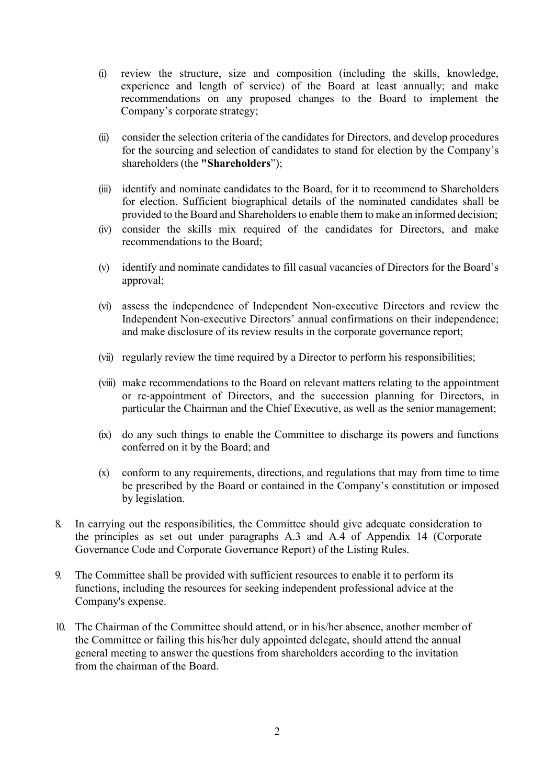- (i) review the structure, size and composition (including the skills, knowledge, experience and length of service) of the Board at least annually; and make recommendations on any proposed changes to the Board to implement the Company's corporate strategy;
- (ii) consider the selection criteria of the candidates for Directors, and develop procedures for the sourcing and selection of candidates to stand for election by the Company's shareholders (the **"Shareholders**");
- (iii) identify and nominate candidates to the Board, for it to recommend to Shareholders for election. Sufficient biographical details of the nominated candidates shall be provided to the Board and Shareholders to enable them to make an informed decision;
- (iv) consider the skills mix required of the candidates for Directors, and make recommendations to the Board;
- (v) identify and nominate candidates to fill casual vacancies of Directors for the Board's approval;
- (vi) assess the independence of Independent Non-executive Directors and review the Independent Non-executive Directors' annual confirmations on their independence; and make disclosure of its review results in the corporate governance report;
- (vii) regularly review the time required by a Director to perform his responsibilities;
- (viii) make recommendations to the Board on relevant matters relating to the appointment or re-appointment of Directors, and the succession planning for Directors, in particular the Chairman and the Chief Executive, as well as the senior management;
- (ix) do any such things to enable the Committee to discharge its powers and functions conferred on it by the Board; and
- (x) conform to any requirements, directions, and regulations that may from time to time be prescribed by the Board or contained in the Company's constitution or imposed by legislation.
- 8. In carrying out the responsibilities, the Committee should give adequate consideration to the principles as set out under paragraphs A.3 and A.4 of Appendix 14 (Corporate Governance Code and Corporate Governance Report) of the Listing Rules.
- 9. The Committee shall be provided with sufficient resources to enable it to perform its functions, including the resources for seeking independent professional advice at the Company's expense.
- 10. The Chairman of the Committee should attend, or in his/her absence, another member of the Committee or failing this his/her duly appointed delegate, should attend the annual general meeting to answer the questions from shareholders according to the invitation from the chairman of the Board.